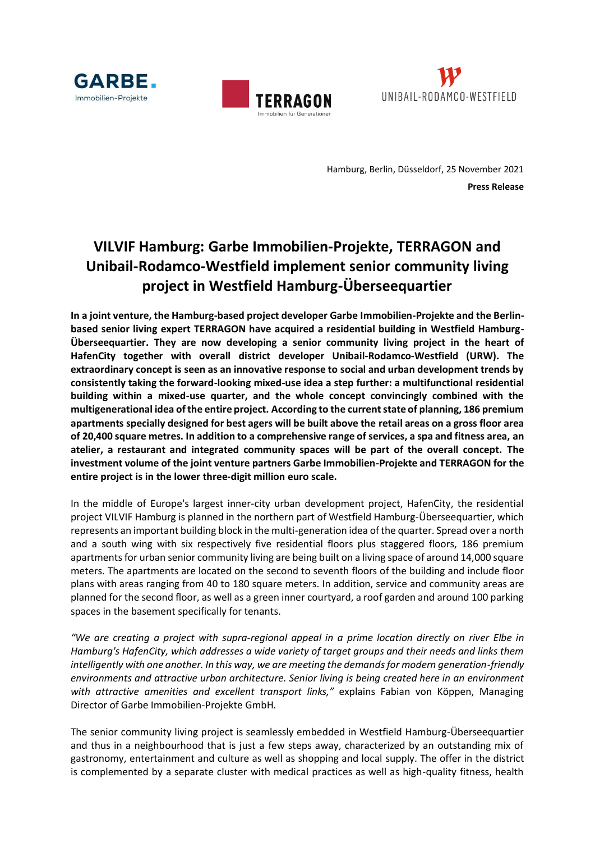





Hamburg, Berlin, Düsseldorf, 25 November 2021 **Press Release**

## **VILVIF Hamburg: Garbe Immobilien-Projekte, TERRAGON and Unibail-Rodamco-Westfield implement senior community living project in Westfield Hamburg-Überseequartier**

**In a joint venture, the Hamburg-based project developer Garbe Immobilien-Projekte and the Berlinbased senior living expert TERRAGON have acquired a residential building in Westfield Hamburg-Überseequartier. They are now developing a senior community living project in the heart of HafenCity together with overall district developer Unibail-Rodamco-Westfield (URW). The extraordinary concept is seen as an innovative response to social and urban development trends by consistently taking the forward-looking mixed-use idea a step further: a multifunctional residential building within a mixed-use quarter, and the whole concept convincingly combined with the multigenerational idea of the entire project. According to the current state of planning, 186 premium apartments specially designed for best agers will be built above the retail areas on a gross floor area of 20,400 square metres. In addition to a comprehensive range of services, a spa and fitness area, an atelier, a restaurant and integrated community spaces will be part of the overall concept. The investment volume of the joint venture partners Garbe Immobilien-Projekte and TERRAGON for the entire project is in the lower three-digit million euro scale.**

In the middle of Europe's largest inner-city urban development project, HafenCity, the residential project VILVIF Hamburg is planned in the northern part of Westfield Hamburg-Überseequartier, which represents an important building block in the multi-generation idea of the quarter. Spread over a north and a south wing with six respectively five residential floors plus staggered floors, 186 premium apartments for urban senior community living are being built on a living space of around 14,000 square meters. The apartments are located on the second to seventh floors of the building and include floor plans with areas ranging from 40 to 180 square meters. In addition, service and community areas are planned for the second floor, as well as a green inner courtyard, a roof garden and around 100 parking spaces in the basement specifically for tenants.

*"We are creating a project with supra-regional appeal in a prime location directly on river Elbe in Hamburg's HafenCity, which addresses a wide variety of target groups and their needs and links them intelligently with one another. In this way, we are meeting the demands for modern generation-friendly environments and attractive urban architecture. Senior living is being created here in an environment with attractive amenities and excellent transport links,"* explains Fabian von Köppen, Managing Director of Garbe Immobilien-Projekte GmbH.

The senior community living project is seamlessly embedded in Westfield Hamburg-Überseequartier and thus in a neighbourhood that is just a few steps away, characterized by an outstanding mix of gastronomy, entertainment and culture as well as shopping and local supply. The offer in the district is complemented by a separate cluster with medical practices as well as high-quality fitness, health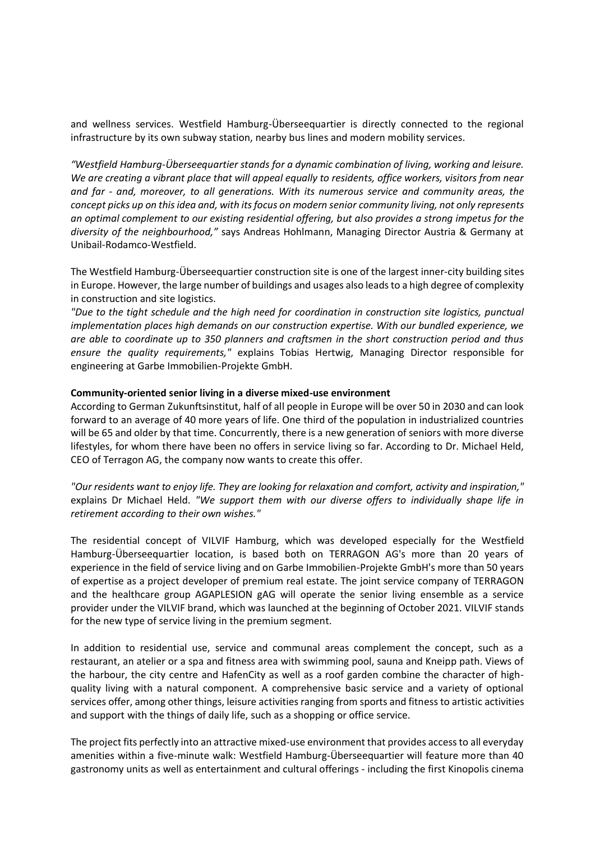and wellness services. Westfield Hamburg-Überseequartier is directly connected to the regional infrastructure by its own subway station, nearby bus lines and modern mobility services.

*"Westfield Hamburg-Überseequartier stands for a dynamic combination of living, working and leisure. We are creating a vibrant place that will appeal equally to residents, office workers, visitors from near and far - and, moreover, to all generations. With its numerous service and community areas, the concept picks up on this idea and, with its focus on modern senior community living, not only represents an optimal complement to our existing residential offering, but also provides a strong impetus for the diversity of the neighbourhood,"* says Andreas Hohlmann, Managing Director Austria & Germany at Unibail-Rodamco-Westfield.

The Westfield Hamburg-Überseequartier construction site is one of the largest inner-city building sites in Europe. However, the large number of buildings and usages also leads to a high degree of complexity in construction and site logistics.

*"Due to the tight schedule and the high need for coordination in construction site logistics, punctual implementation places high demands on our construction expertise. With our bundled experience, we are able to coordinate up to 350 planners and craftsmen in the short construction period and thus ensure the quality requirements,"* explains Tobias Hertwig, Managing Director responsible for engineering at Garbe Immobilien-Projekte GmbH.

## **Community-oriented senior living in a diverse mixed-use environment**

According to German Zukunftsinstitut, half of all people in Europe will be over 50 in 2030 and can look forward to an average of 40 more years of life. One third of the population in industrialized countries will be 65 and older by that time. Concurrently, there is a new generation of seniors with more diverse lifestyles, for whom there have been no offers in service living so far. According to Dr. Michael Held, CEO of Terragon AG, the company now wants to create this offer.

*"Our residents want to enjoy life. They are looking for relaxation and comfort, activity and inspiration,"* explains Dr Michael Held. *"We support them with our diverse offers to individually shape life in retirement according to their own wishes."*

The residential concept of VILVIF Hamburg, which was developed especially for the Westfield Hamburg-Überseequartier location, is based both on TERRAGON AG's more than 20 years of experience in the field of service living and on Garbe Immobilien-Projekte GmbH's more than 50 years of expertise as a project developer of premium real estate. The joint service company of TERRAGON and the healthcare group AGAPLESION gAG will operate the senior living ensemble as a service provider under the VILVIF brand, which was launched at the beginning of October 2021. VILVIF stands for the new type of service living in the premium segment.

In addition to residential use, service and communal areas complement the concept, such as a restaurant, an atelier or a spa and fitness area with swimming pool, sauna and Kneipp path. Views of the harbour, the city centre and HafenCity as well as a roof garden combine the character of highquality living with a natural component. A comprehensive basic service and a variety of optional services offer, among other things, leisure activities ranging from sports and fitness to artistic activities and support with the things of daily life, such as a shopping or office service.

The project fits perfectly into an attractive mixed-use environment that provides access to all everyday amenities within a five-minute walk: Westfield Hamburg-Überseequartier will feature more than 40 gastronomy units as well as entertainment and cultural offerings - including the first Kinopolis cinema